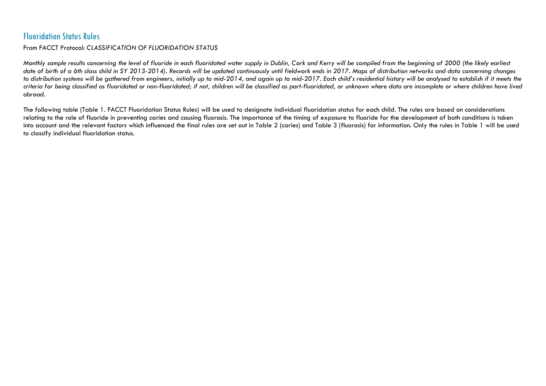## Fluoridation Status Rules

## From FACCT Protocol: *CLASSIFICATION OF FLUORIDATION STATUS*

*Monthly sample results concerning the level of fluoride in each fluoridated water supply in Dublin, Cork and Kerry will be compiled from the beginning of 2000 (the likely earliest date of birth of a 6th class child in SY 2013-2014). Records will be updated continuously until fieldwork ends in 2017. Maps of distribution networks and data concerning changes to distribution systems will be gathered from engineers, initially up to mid-2014, and again up to mid-2017. Each child's residential history will be analysed to establish if it meets the criteria for being classified as fluoridated or non-fluoridated; if not, children will be classified as part-fluoridated, or unknown where data are incomplete or where children have lived abroad.*

The following table [\(Table 1. FACCT Fluoridation Status Rules\)](#page-1-0) will be used to designate individual fluoridation status for each child. The rules are based on considerations relating to the role of fluoride in preventing caries and causing fluorosis. The importance of the timing of exposure to fluoride for the development of both conditions is taken into account and the relevant factors which influenced the final rules are set out in [Table 2](#page-2-0) (caries) and [Table 3](#page-3-0) (fluorosis) for information. Only the rules in [Table 1](#page-1-0) will be used to classify individual fluoridation status.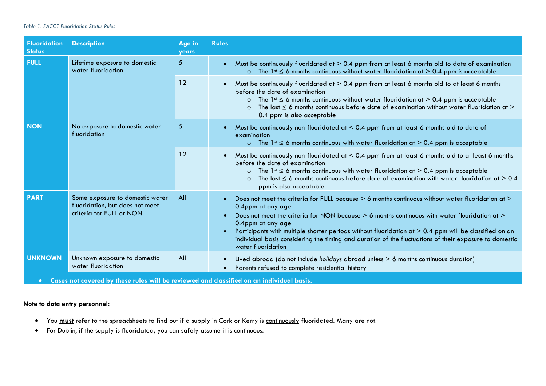## <span id="page-1-0"></span>*Table 1. FACCT Fluoridation Status Rules*

| <b>Fluoridation</b><br><b>Status</b>                                                                  | <b>Description</b>                                                                             | Age in<br><b>years</b> | <b>Rules</b>                                                                                                                                                                                                                                                                                                                                                                                                                                                                                       |  |  |  |
|-------------------------------------------------------------------------------------------------------|------------------------------------------------------------------------------------------------|------------------------|----------------------------------------------------------------------------------------------------------------------------------------------------------------------------------------------------------------------------------------------------------------------------------------------------------------------------------------------------------------------------------------------------------------------------------------------------------------------------------------------------|--|--|--|
| <b>FULL</b>                                                                                           | Lifetime exposure to domestic<br>water fluoridation                                            | $5\phantom{.0}$        | Must be continuously fluoridated at $> 0.4$ ppm from at least 6 months old to date of examination<br>The 1 <sup>st</sup> $\leq$ 6 months continuous without water fluoridation at $>$ 0.4 ppm is acceptable<br>$\Omega$                                                                                                                                                                                                                                                                            |  |  |  |
|                                                                                                       |                                                                                                | 12                     | Must be continuously fluoridated at $> 0.4$ ppm from at least 6 months old to at least 6 months<br>before the date of examination<br>The 1 <sup>st</sup> $\leq$ 6 months continuous without water fluoridation at $>$ 0.4 ppm is acceptable<br>$\circ$<br>The last $\leq$ 6 months continuous before date of examination without water fluoridation at $\geq$<br>$\circ$<br>0.4 ppm is also acceptable                                                                                             |  |  |  |
| <b>NON</b>                                                                                            | No exposure to domestic water<br>fluoridation                                                  | $\sqrt{5}$             | Must be continuously non-fluoridated at $< 0.4$ ppm from at least 6 months old to date of<br>examination<br>$\circ$ The 1st $\leq$ 6 months continuous with water fluoridation at $> 0.4$ ppm is acceptable                                                                                                                                                                                                                                                                                        |  |  |  |
|                                                                                                       |                                                                                                | 12                     | Must be continuously non-fluoridated at $< 0.4$ ppm from at least 6 months old to at least 6 months<br>before the date of examination<br>The $1$ <sup>st</sup> $\leq$ 6 months continuous with water fluoridation at $> 0.4$ ppm is acceptable<br>$\circ$<br>The last $\leq 6$ months continuous before date of examination with water fluoridation at $> 0.4$<br>$\Omega$<br>ppm is also acceptable                                                                                               |  |  |  |
| <b>PART</b>                                                                                           | Some exposure to domestic water<br>fluoridation, but does not meet<br>criteria for FULL or NON | All                    | Does not meet the criteria for FULL because > 6 months continuous without water fluoridation at ><br>0.4ppm at any age<br>Does not meet the criteria for NON because > 6 months continuous with water fluoridation at ><br>$\bullet$<br>0.4ppm at any age<br>Participants with multiple shorter periods without fluoridation at > 0.4 ppm will be classified on an<br>individual basis considering the timing and duration of the fluctuations of their exposure to domestic<br>water fluoridation |  |  |  |
| <b>UNKNOWN</b>                                                                                        | Unknown exposure to domestic<br>water fluoridation                                             | All                    | Lived abroad (do not include holidays abroad unless > 6 months continuous duration)<br>Parents refused to complete residential history                                                                                                                                                                                                                                                                                                                                                             |  |  |  |
| Cases not covered by these rules will be reviewed and classified on an individual basis.<br>$\bullet$ |                                                                                                |                        |                                                                                                                                                                                                                                                                                                                                                                                                                                                                                                    |  |  |  |

## **Note to data entry personnel:**

- You **must** refer to the spreadsheets to find out if a supply in Cork or Kerry is continuously fluoridated. Many are not!
- For Dublin, if the supply is fluoridated, you can safely assume it is continuous.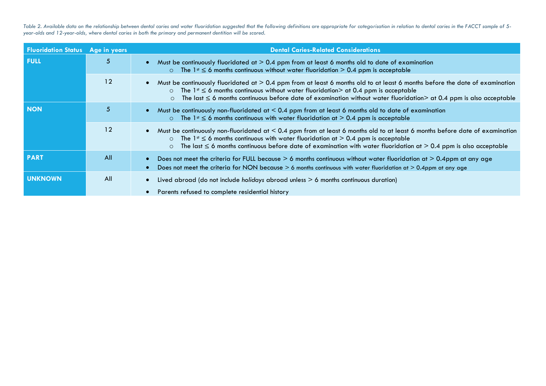<span id="page-2-0"></span>Table 2. Available data on the relationship between dental caries and water fluoridation suggested that the following definitions are appropriate for categorisation in relation to dental caries in the FACCT sample of 5*year-olds and 12-year-olds, where dental caries in both the primary and permanent dentition will be scored.*

| <b>Fluoridation Status</b> Age in years |     | <b>Dental Caries-Related Considerations</b>                                                                                                                                                                                                                                                                                                                                                          |
|-----------------------------------------|-----|------------------------------------------------------------------------------------------------------------------------------------------------------------------------------------------------------------------------------------------------------------------------------------------------------------------------------------------------------------------------------------------------------|
| <b>FULL</b>                             | 5   | Must be continuously fluoridated at $> 0.4$ ppm from at least 6 months old to date of examination<br>$\bullet$<br>$\circ$ The 1 <sup>st</sup> $\leq$ 6 months continuous without water fluoridation $> 0.4$ ppm is acceptable                                                                                                                                                                        |
|                                         | 12  | Must be continuously fluoridated at $> 0.4$ ppm from at least 6 months old to at least 6 months before the date of examination<br>The $1$ <sup>st</sup> $\leq$ 6 months continuous without water fluoridation $>$ at 0.4 ppm is acceptable<br>$\circ$<br>The last $\leq$ 6 months continuous before date of examination without water fluoridation $>$ at 0.4 ppm is also acceptable<br>$\circ$      |
| <b>NON</b>                              | 5   | Must be continuously non-fluoridated at $< 0.4$ ppm from at least 6 months old to date of examination<br>$\bullet$<br>$\circ$ The 1 <sup>st</sup> $\leq$ 6 months continuous with water fluoridation at $> 0.4$ ppm is acceptable                                                                                                                                                                    |
|                                         | 12  | Must be continuously non-fluoridated at $< 0.4$ ppm from at least 6 months old to at least 6 months before date of examination<br>$\bullet$<br>The 1 <sup>st</sup> $\leq$ 6 months continuous with water fluoridation at $> 0.4$ ppm is acceptable<br>$\circ$<br>The last $\leq$ 6 months continuous before date of examination with water fluoridation at $>$ 0.4 ppm is also acceptable<br>$\circ$ |
| <b>PART</b>                             | All | Does not meet the criteria for FULL because $> 6$ months continuous without water fluoridation at $> 0.4$ ppm at any age<br>Does not meet the criteria for NON because > 6 months continuous with water fluoridation at > 0.4ppm at any age                                                                                                                                                          |
| <b>UNKNOWN</b>                          | All | Lived abroad (do not include holidays abroad unless $> 6$ months continuous duration)<br>$\bullet$<br>Parents refused to complete residential history                                                                                                                                                                                                                                                |